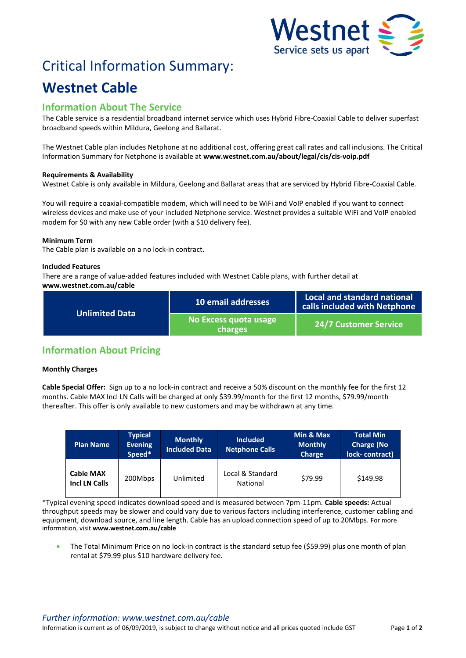

# Critical Information Summary:

## **Westnet Cable**

### **Information About The Service**

The Cable service is a residential broadband internet service which uses Hybrid Fibre-Coaxial Cable to deliver superfast broadband speeds within Mildura, Geelong and Ballarat.

The Westnet Cable plan includes Netphone at no additional cost, offering great call rates and call inclusions. The Critical Information Summary for Netphone is available at **www.westnet.com.au/about/legal/cis/cis-voip.pdf**

#### **Requirements & Availability**

Westnet Cable is only available in Mildura, Geelong and Ballarat areas that are serviced by Hybrid Fibre-Coaxial Cable.

You will require a coaxial-compatible modem, which will need to be WiFi and VoIP enabled if you want to connect wireless devices and make use of your included Netphone service. Westnet provides a suitable WiFi and VoIP enabled modem for \$0 with any new Cable order (with a \$10 delivery fee).

#### **Minimum Term**

The Cable plan is available on a no lock-in contract.

#### **Included Features**

There are a range of value-added features included with Westnet Cable plans, with further detail at **www.westnet.com.au/cable**

| <b>Unlimited Data</b> | 10 email addresses               | Local and standard national<br>calls included with Netphone |  |
|-----------------------|----------------------------------|-------------------------------------------------------------|--|
|                       | No Excess quota usage<br>charges | <b>24/7 Customer Service</b>                                |  |

## **Information About Pricing**

#### **Monthly Charges**

**Cable Special Offer:** Sign up to a no lock-in contract and receive a 50% discount on the monthly fee for the first 12 months. Cable MAX Incl LN Calls will be charged at only \$39.99/month for the first 12 months, \$79.99/month thereafter. This offer is only available to new customers and may be withdrawn at any time.

| <b>Plan Name</b>                         | <b>Typical</b><br><b>Evening</b><br>Speed* | <b>Monthly</b><br><b>Included Data</b> | <b>Included</b><br><b>Netphone Calls</b> | Min & Max<br><b>Monthly</b><br><b>Charge</b> | <b>Total Min</b><br><b>Charge (No</b><br>lock-contract) |
|------------------------------------------|--------------------------------------------|----------------------------------------|------------------------------------------|----------------------------------------------|---------------------------------------------------------|
| <b>Cable MAX</b><br><b>Incl LN Calls</b> | 200Mbps                                    | Unlimited                              | Local & Standard<br>National             | \$79.99                                      | \$149.98                                                |

\*Typical evening speed indicates download speed and is measured between 7pm-11pm. **Cable speeds:** Actual throughput speeds may be slower and could vary due to various factors including interference, customer cabling and equipment, download source, and line length. Cable has an upload connection speed of up to 20Mbps. For more information, visit **www.westnet.com.au/cable**

 The Total Minimum Price on no lock-in contract is the standard setup fee (\$59.99) plus one month of plan rental at \$79.99 plus \$10 hardware delivery fee.